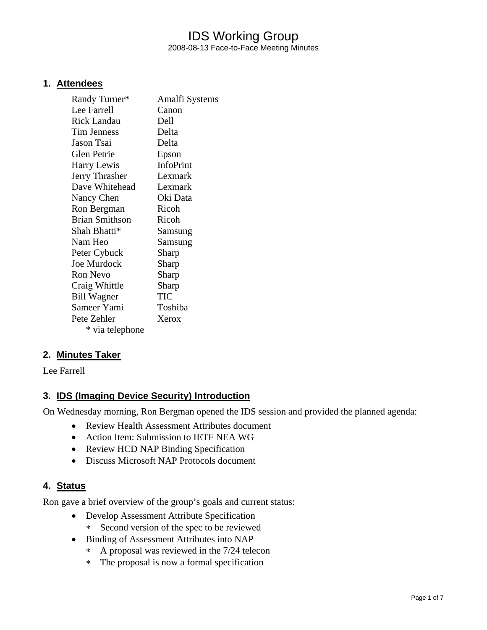# IDS Working Group 2008-08-13 Face-to-Face Meeting Minutes

### **1. Attendees**

| Randy Turner*         | Amalfi Systems   |
|-----------------------|------------------|
| Lee Farrell           | Canon            |
| <b>Rick Landau</b>    | Dell             |
| <b>Tim Jenness</b>    | Delta            |
| Jason Tsai            | Delta            |
| <b>Glen Petrie</b>    | Epson            |
| Harry Lewis           | <b>InfoPrint</b> |
| Jerry Thrasher        | Lexmark          |
| Dave Whitehead        | Lexmark          |
| Nancy Chen            | Oki Data         |
| Ron Bergman           | Ricoh            |
| <b>Brian Smithson</b> | Ricoh            |
| Shah Bhatti*          | Samsung          |
| Nam Heo               | Samsung          |
| Peter Cybuck          | Sharp            |
| <b>Joe Murdock</b>    | Sharp            |
| <b>Ron Nevo</b>       | Sharp            |
| Craig Whittle         | Sharp            |
| <b>Bill Wagner</b>    | TIC              |
| Sameer Yami           | Toshiba          |
| Pete Zehler           | Xerox            |
| * via telephone       |                  |

# **2. Minutes Taker**

Lee Farrell

# **3. IDS (Imaging Device Security) Introduction**

On Wednesday morning, Ron Bergman opened the IDS session and provided the planned agenda:

- Review Health Assessment Attributes document
- Action Item: Submission to IETF NEA WG
- Review HCD NAP Binding Specification
- Discuss Microsoft NAP Protocols document

### **4. Status**

Ron gave a brief overview of the group's goals and current status:

- Develop Assessment Attribute Specification
	- ∗ Second version of the spec to be reviewed
- Binding of Assessment Attributes into NAP
	- ∗ A proposal was reviewed in the 7/24 telecon
	- ∗ The proposal is now a formal specification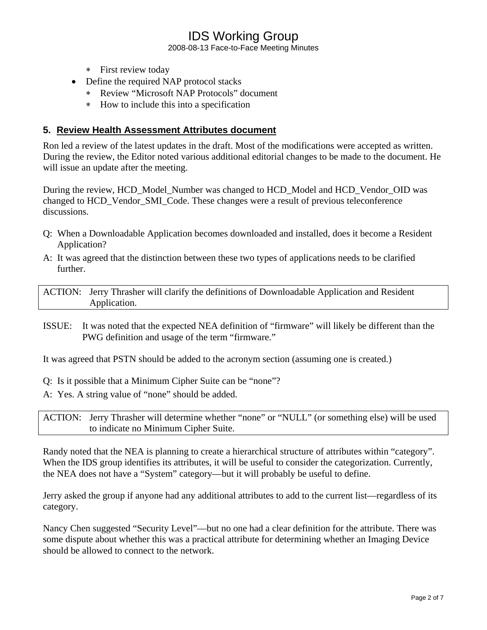2008-08-13 Face-to-Face Meeting Minutes

- ∗ First review today
- Define the required NAP protocol stacks
	- ∗ Review "Microsoft NAP Protocols" document
	- ∗ How to include this into a specification

#### **5. Review Health Assessment Attributes document**

Ron led a review of the latest updates in the draft. Most of the modifications were accepted as written. During the review, the Editor noted various additional editorial changes to be made to the document. He will issue an update after the meeting.

During the review, HCD\_Model\_Number was changed to HCD\_Model and HCD\_Vendor\_OID was changed to HCD\_Vendor\_SMI\_Code. These changes were a result of previous teleconference discussions.

- Q: When a Downloadable Application becomes downloaded and installed, does it become a Resident Application?
- A: It was agreed that the distinction between these two types of applications needs to be clarified further.

ACTION: Jerry Thrasher will clarify the definitions of Downloadable Application and Resident Application.

ISSUE: It was noted that the expected NEA definition of "firmware" will likely be different than the PWG definition and usage of the term "firmware."

It was agreed that PSTN should be added to the acronym section (assuming one is created.)

- Q: Is it possible that a Minimum Cipher Suite can be "none"?
- A: Yes. A string value of "none" should be added.

ACTION: Jerry Thrasher will determine whether "none" or "NULL" (or something else) will be used to indicate no Minimum Cipher Suite.

Randy noted that the NEA is planning to create a hierarchical structure of attributes within "category". When the IDS group identifies its attributes, it will be useful to consider the categorization. Currently, the NEA does not have a "System" category—but it will probably be useful to define.

Jerry asked the group if anyone had any additional attributes to add to the current list—regardless of its category.

Nancy Chen suggested "Security Level"—but no one had a clear definition for the attribute. There was some dispute about whether this was a practical attribute for determining whether an Imaging Device should be allowed to connect to the network.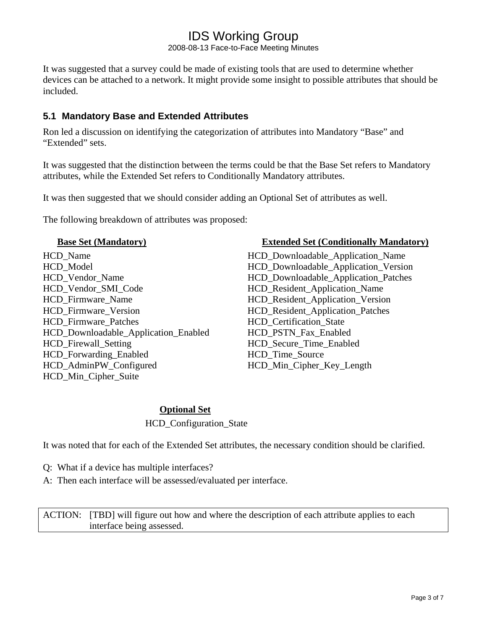2008-08-13 Face-to-Face Meeting Minutes

It was suggested that a survey could be made of existing tools that are used to determine whether devices can be attached to a network. It might provide some insight to possible attributes that should be included.

### **5.1 Mandatory Base and Extended Attributes**

Ron led a discussion on identifying the categorization of attributes into Mandatory "Base" and "Extended" sets.

It was suggested that the distinction between the terms could be that the Base Set refers to Mandatory attributes, while the Extended Set refers to Conditionally Mandatory attributes.

It was then suggested that we should consider adding an Optional Set of attributes as well.

The following breakdown of attributes was proposed:

HCD\_Name HCD\_Downloadable\_Application\_Name HCD\_Model HCD\_Downloadable\_Application\_Version HCD\_Vendor\_Name HCD\_Downloadable\_Application\_Patches HCD\_Vendor\_SMI\_Code HCD\_Resident\_Application\_Name HCD\_Firmware\_Name HCD\_Resident\_Application\_Version HCD\_Firmware\_Version HCD\_Resident\_Application\_Patches HCD\_Firmware\_Patches HCD\_Certification\_State HCD\_Downloadable\_Application\_Enabled HCD\_PSTN\_Fax\_Enabled HCD Firewall Setting Time Enabled HCD\_Forwarding\_Enabled HCD\_Time\_Source HCD\_AdminPW\_Configured HCD\_Min\_Cipher\_Key\_Length HCD\_Min\_Cipher\_Suite

#### **Base Set (Mandatory)** Extended Set (Conditionally Mandatory)

### **Optional Set**

HCD\_Configuration\_State

It was noted that for each of the Extended Set attributes, the necessary condition should be clarified.

- Q: What if a device has multiple interfaces?
- A: Then each interface will be assessed/evaluated per interface.

ACTION: [TBD] will figure out how and where the description of each attribute applies to each interface being assessed.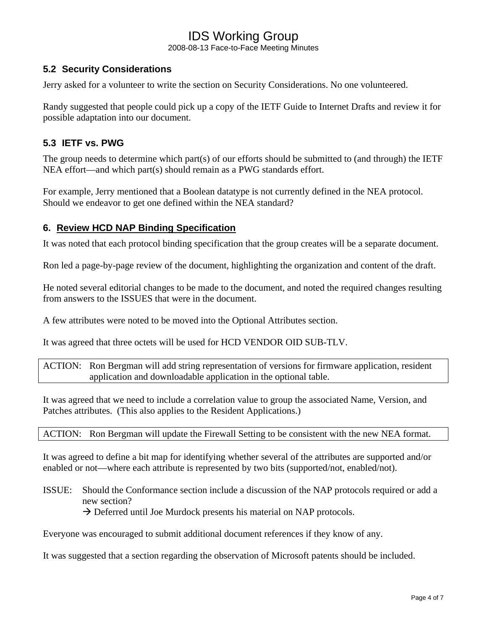2008-08-13 Face-to-Face Meeting Minutes

### **5.2 Security Considerations**

Jerry asked for a volunteer to write the section on Security Considerations. No one volunteered.

Randy suggested that people could pick up a copy of the IETF Guide to Internet Drafts and review it for possible adaptation into our document.

### **5.3 IETF vs. PWG**

The group needs to determine which part(s) of our efforts should be submitted to (and through) the IETF NEA effort—and which part(s) should remain as a PWG standards effort.

For example, Jerry mentioned that a Boolean datatype is not currently defined in the NEA protocol. Should we endeavor to get one defined within the NEA standard?

### **6. Review HCD NAP Binding Specification**

It was noted that each protocol binding specification that the group creates will be a separate document.

Ron led a page-by-page review of the document, highlighting the organization and content of the draft.

He noted several editorial changes to be made to the document, and noted the required changes resulting from answers to the ISSUES that were in the document.

A few attributes were noted to be moved into the Optional Attributes section.

It was agreed that three octets will be used for HCD VENDOR OID SUB-TLV.

ACTION: Ron Bergman will add string representation of versions for firmware application, resident application and downloadable application in the optional table.

It was agreed that we need to include a correlation value to group the associated Name, Version, and Patches attributes. (This also applies to the Resident Applications.)

ACTION: Ron Bergman will update the Firewall Setting to be consistent with the new NEA format.

It was agreed to define a bit map for identifying whether several of the attributes are supported and/or enabled or not—where each attribute is represented by two bits (supported/not, enabled/not).

ISSUE: Should the Conformance section include a discussion of the NAP protocols required or add a new section?

 $\rightarrow$  Deferred until Joe Murdock presents his material on NAP protocols.

Everyone was encouraged to submit additional document references if they know of any.

It was suggested that a section regarding the observation of Microsoft patents should be included.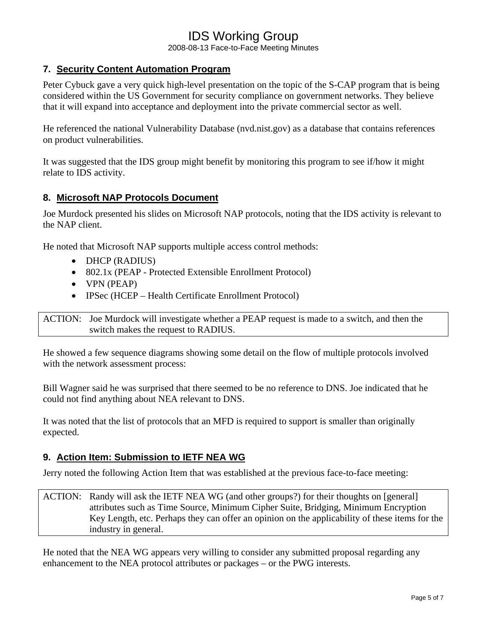2008-08-13 Face-to-Face Meeting Minutes

# **7. Security Content Automation Program**

Peter Cybuck gave a very quick high-level presentation on the topic of the S-CAP program that is being considered within the US Government for security compliance on government networks. They believe that it will expand into acceptance and deployment into the private commercial sector as well.

He referenced the national Vulnerability Database (nvd.nist.gov) as a database that contains references on product vulnerabilities.

It was suggested that the IDS group might benefit by monitoring this program to see if/how it might relate to IDS activity.

### **8. Microsoft NAP Protocols Document**

Joe Murdock presented his slides on Microsoft NAP protocols, noting that the IDS activity is relevant to the NAP client.

He noted that Microsoft NAP supports multiple access control methods:

- DHCP (RADIUS)
- 802.1x (PEAP Protected Extensible Enrollment Protocol)
- VPN (PEAP)
- IPSec (HCEP Health Certificate Enrollment Protocol)

ACTION: Joe Murdock will investigate whether a PEAP request is made to a switch, and then the switch makes the request to RADIUS.

He showed a few sequence diagrams showing some detail on the flow of multiple protocols involved with the network assessment process:

Bill Wagner said he was surprised that there seemed to be no reference to DNS. Joe indicated that he could not find anything about NEA relevant to DNS.

It was noted that the list of protocols that an MFD is required to support is smaller than originally expected.

### **9. Action Item: Submission to IETF NEA WG**

Jerry noted the following Action Item that was established at the previous face-to-face meeting:

ACTION: Randy will ask the IETF NEA WG (and other groups?) for their thoughts on [general] attributes such as Time Source, Minimum Cipher Suite, Bridging, Minimum Encryption Key Length, etc. Perhaps they can offer an opinion on the applicability of these items for the industry in general.

He noted that the NEA WG appears very willing to consider any submitted proposal regarding any enhancement to the NEA protocol attributes or packages – or the PWG interests.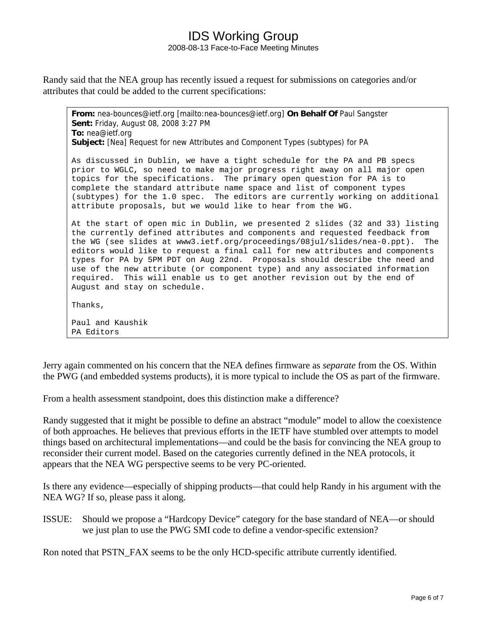## IDS Working Group 2008-08-13 Face-to-Face Meeting Minutes

Randy said that the NEA group has recently issued a request for submissions on categories and/or attributes that could be added to the current specifications:

**From:** nea-bounces@ietf.org [mailto:nea-bounces@ietf.org] **On Behalf Of** Paul Sangster **Sent:** Friday, August 08, 2008 3:27 PM **To:** nea@ietf.org **Subject:** [Nea] Request for new Attributes and Component Types (subtypes) for PA As discussed in Dublin, we have a tight schedule for the PA and PB specs prior to WGLC, so need to make major progress right away on all major open topics for the specifications. The primary open question for PA is to complete the standard attribute name space and list of component types (subtypes) for the 1.0 spec. The editors are currently working on additional attribute proposals, but we would like to hear from the WG. At the start of open mic in Dublin, we presented 2 slides (32 and 33) listing the currently defined attributes and components and requested feedback from the WG (see slides at www3.ietf.org/proceedings/08jul/slides/nea-0.ppt). The editors would like to request a final call for new attributes and components types for PA by 5PM PDT on Aug 22nd. Proposals should describe the need and use of the new attribute (or component type) and any associated information required. This will enable us to get another revision out by the end of August and stay on schedule. Thanks, Paul and Kaushik PA Editors

Jerry again commented on his concern that the NEA defines firmware as *separate* from the OS. Within the PWG (and embedded systems products), it is more typical to include the OS as part of the firmware.

From a health assessment standpoint, does this distinction make a difference?

Randy suggested that it might be possible to define an abstract "module" model to allow the coexistence of both approaches. He believes that previous efforts in the IETF have stumbled over attempts to model things based on architectural implementations—and could be the basis for convincing the NEA group to reconsider their current model. Based on the categories currently defined in the NEA protocols, it appears that the NEA WG perspective seems to be very PC-oriented.

Is there any evidence—especially of shipping products—that could help Randy in his argument with the NEA WG? If so, please pass it along.

ISSUE: Should we propose a "Hardcopy Device" category for the base standard of NEA—or should we just plan to use the PWG SMI code to define a vendor-specific extension?

Ron noted that PSTN\_FAX seems to be the only HCD-specific attribute currently identified.